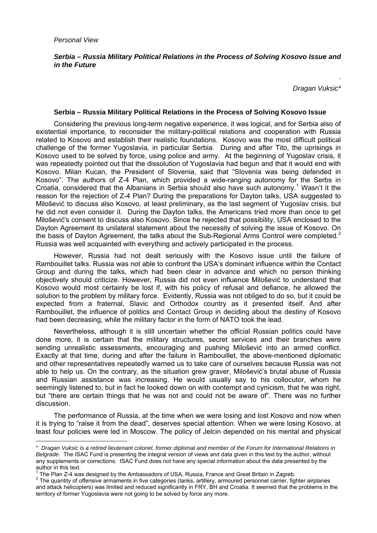$\overline{a}$ 

## *Serbia – Russia Military Political Relations in the Process of Solving Kosovo Issue and in the Future*

*Dragan Vuksic\**

.

## **Serbia – Russia Military Political Relations in the Process of Solving Kosovo Issue**

Considering the previous long-term negative experience, it was logical, and for Serbia also of existential importance, to reconsider the military-political relations and cooperation with Russia related to Kosovo and establish their realistic foundations. Kosovo was the most difficult political challenge of the former Yugoslavia, in particular Serbia. During and after Tito, the uprisings in Kosovo used to be solved by force, using police and army. At the beginning of Yugoslav crisis, it was repeatedly pointed out that the dissolution of Yugoslavia had begun and that it would end with Kosovo. Milan Kucan, the President of Slovenia, said that "Slovenia was being defended in Kosovo". The authors of Z-4 Plan, which provided a wide-ranging autonomy for the Serbs in Croatia, considered that the Albanians in Serbia should also have such autonomy.<sup>1</sup> Wasn't it the reason for the rejection of Z-4 Plan? During the preparations for Dayton talks, USA suggested to Milošević to discuss also Kosovo, at least preliminary, as the last segment of Yugoslav crisis, but he did not even consider it. During the Dayton talks, the Americans tried more than once to get Milošević's consent to discuss also Kosovo. Since he rejected that possibility, USA enclosed to the Dayton Agreement its unilateral statement about the necessity of solving the issue of Kosovo. On the basis of Dayton Agreement, the talks about the Sub-Regional Arms Control were completed.<sup>2</sup> Russia was well acquainted with everything and actively participated in the process.

However, Russia had not dealt seriously with the Kosovo issue until the failure of Rambouillet talks. Russia was not able to confront the USA's dominant influence within the Contact Group and during the talks, which had been clear in advance and which no person thinking objectively should criticize. However, Russia did not even influence Milošević to understand that Kosovo would most certainly be lost if, with his policy of refusal and defiance, he allowed the solution to the problem by military force. Evidently, Russia was not obliged to do so, but it could be expected from a fraternal, Slavic and Orthodox country as it presented itself. And after Rambouillet, the influence of politics and Contact Group in deciding about the destiny of Kosovo had been decreasing, while the military factor in the form of NATO took the lead.

Nevertheless, although it is still uncertain whether the official Russian politics could have done more, it is certain that the military structures, secret services and their branches were sending unrealistic assessments, encouraging and pushing Milošević into an armed conflict. Exactly at that time, during and after the failure in Rambouillet, the above-mentioned diplomatic and other representatives repeatedly warned us to take care of ourselves because Russia was not able to help us. On the contrary, as the situation grew graver, Milošević's brutal abuse of Russia and Russian assistance was increasing. He would usually say to his collocutor, whom he seemingly listened to, but in fact he looked down on with contempt and cynicism, that he was right, but "there are certain things that he was not and could not be aware of". There was no further discussion.

The performance of Russia, at the time when we were losing and lost Kosovo and now when it is trying to "raise it from the dead", deserves special attention. When we were losing Kosovo, at least four policies were led in Moscow. The policy of Jelcin depended on his mental and physical

<sup>\*</sup> *Dragan Vuksic is a retired lieutenant colonel, former diplomat and member of the Forum for International Relations in Belgrade.* The ISAC Fund is presenting the integral version of views and data given in this text by the author, without any supplements or corrections. ISAC Fund does not have any special information about the data presented by the author in this text.

<sup>1</sup> The Plan Z-4 was designed by the Ambassadors of USA, Russia, France and Great Britain in Zagreb. 2

 $2$  The quantity of offensive armaments in five categories (tanks, artillery, armoured personnel carrier, fighter airplanes and attack helicopters) was limited and reduced significantly in FRY, BH and Croatia. It seemed that the problems in the territory of former Yugoslavia were not going to be solved by force any more.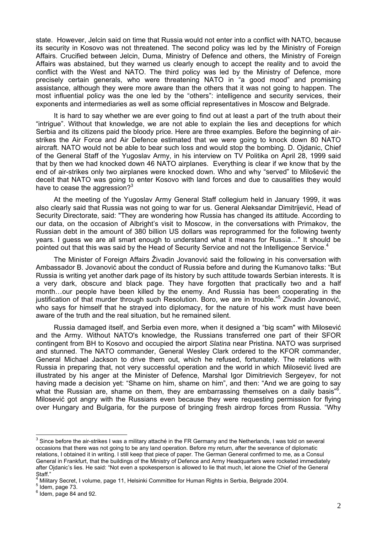state. However, Jelcin said on time that Russia would not enter into a conflict with NATO, because its security in Kosovo was not threatened. The second policy was led by the Ministry of Foreign Affairs. Crucified between Jelcin, Duma, Ministry of Defence and others, the Ministry of Foreign Affairs was abstained, but they warned us clearly enough to accept the reality and to avoid the conflict with the West and NATO. The third policy was led by the Ministry of Defence, more precisely certain generals, who were threatening NATO in "a good mood" and promising assistance, although they were more aware than the others that it was not going to happen. The most influential policy was the one led by the "others": intelligence and security services, their exponents and intermediaries as well as some official representatives in Moscow and Belgrade.

It is hard to say whether we are ever going to find out at least a part of the truth about their "intrigue". Without that knowledge, we are not able to explain the lies and deceptions for which Serbia and its citizens paid the bloody price. Here are three examples. Before the beginning of airstrikes the Air Force and Air Defence estimated that we were going to knock down 80 NATO aircraft. NATO would not be able to bear such loss and would stop the bombing. D. Ojdanic, Chief of the General Staff of the Yugoslav Army, in his interview on TV Politika on April 28, 1999 said that by then we had knocked down 46 NATO airplanes. Everything is clear if we know that by the end of air-strikes only two airplanes were knocked down. Who and why "served" to Milošević the deceit that NATO was going to enter Kosovo with land forces and due to causalities they would have to cease the aggression? $3$ 

At the meeting of the Yugoslav Army General Staff collegium held in January 1999, it was also clearly said that Russia was not going to war for us. General Aleksandar Dimitrijević, Head of Security Directorate, said: "They are wondering how Russia has changed its attitude. According to our data, on the occasion of Albright's visit to Moscow, in the conversations with Primakov, the Russian debt in the amount of 380 billion US dollars was reprogrammed for the following twenty years. I guess we are all smart enough to understand what it means for Russia…" It should be pointed out that this was said by the Head of Security Service and not the Intelligence Service.<sup>4</sup>

The Minister of Foreign Affairs Živadin Jovanović said the following in his conversation with Ambassador B. Jovanović about the conduct of Russia before and during the Kumanovo talks: "But Russia is writing yet another dark page of its history by such attitude towards Serbian interests. It is a very dark, obscure and black page. They have forgotten that practically two and a half month…our people have been killed by the enemy. And Russia has been cooperating in the justification of that murder through such Resolution. Boro, we are in trouble."<sup>5</sup> Zivadin Jovanović, who says for himself that he strayed into diplomacy, for the nature of his work must have been aware of the truth and the real situation, but he remained silent.

Russia damaged itself, and Serbia even more, when it designed a "big scam" with Milosević and the Army. Without NATO's knowledge, the Russians transferred one part of their SFOR contingent from BH to Kosovo and occupied the airport *Slatina* near Pristina. NATO was surprised and stunned. The NATO commander, General Wesley Clark ordered to the KFOR commander, General Michael Jackson to drive them out, which he refused, fortunately. The relations with Russia in preparing that, not very successful operation and the world in which Milosević lived are illustrated by his anger at the Minister of Defence, Marshal Igor Dimitrievich Sergeyev, for not having made a decision yet: "Shame on him, shame on him", and then: "And we are going to say what the Russian are, shame on them, they are embarrassing themselves on a daily basis"<sup>6</sup>. Milosević got angry with the Russians even because they were requesting permission for flying over Hungary and Bulgaria, for the purpose of bringing fresh airdrop forces from Russia. "Why

 $\overline{a}$ 

 $^3$  Since before the air-strikes I was a military attaché in the FR Germany and the Netherlands, I was told on several occasions that there was not going to be any land operation. Before my return, after the severance of diplomatic relations, I obtained it in writing. I still keep that piece of paper. The German General confirmed to me, as a Consul General in Frankfurt, that the buildings of the Ministry of Defence and Army Headquarters were rocketed immediately after Ojdanic's lies. He said: "Not even a spokesperson is allowed to lie that much, let alone the Chief of the General Staff."

<sup>4</sup> Military Secret, I volume, page 11, Helsinki Committee for Human Rights in Serbia, Belgrade 2004. 5

 $<sup>5</sup>$  Idem, page 73.</sup>

 $<sup>6</sup>$  Idem, page 84 and 92.</sup>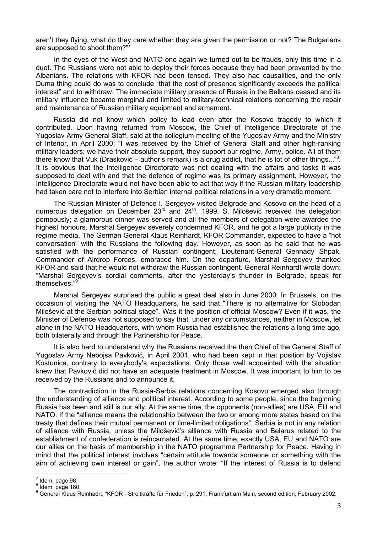aren't they flying, what do they care whether they are given the permission or not? The Bulgarians are supposed to shoot them?"

In the eyes of the West and NATO one again we turned out to be frauds, only this time in a duet. The Russians were not able to deploy their forces because they had been prevented by the Albanians. The relations with KFOR had been tensed. They also had causalities, and the only Duma thing could do was to conclude "that the cost of presence significantly exceeds the political interest" and to withdraw. The immediate military presence of Russia in the Balkans ceased and its military influence became marginal and limited to military-technical relations concerning the repair and maintenance of Russian military equipment and armament.

Russia did not know which policy to lead even after the Kosovo tragedy to which it contributed. Upon having returned from Moscow, the Chief of Intelligence Directorate of the Yugoslav Army General Staff, said at the collegium meeting of the Yugoslav Army and the Ministry of Interior, in April 2000: "I was received by the Chief of General Staff and other high-ranking military leaders; we have their absolute support, they support our regime, Army, police. All of them there know that Vuk (Drasković – author's remark) is a drug addict, that he is lot of other things..."<sup>8</sup>. It is obvious that the Intelligence Directorate was not dealing with the affairs and tasks it was supposed to deal with and that the defence of regime was its primary assignment. However, the Intelligence Directorate would not have been able to act that way if the Russian military leadership had taken care not to interfere into Serbian internal political relations in a very dramatic moment.

The Russian Minister of Defence I. Sergeyev visited Belgrade and Kosovo on the head of a numerous delegation on December 23<sup>rd</sup> and 24<sup>th</sup>, 1999. S. Milošević received the delegation pompously; a glamorous dinner was served and all the members of delegation were awarded the highest honours. Marshal Sergeyev severely condemned KFOR, and he got a large publicity in the regime media. The German General Klaus Reinhardt, KFOR Commander, expected to have a "hot conversation" with the Russians the following day. However, as soon as he said that he was satisfied with the performance of Russian contingent, Lieutenant-General Gennady Shpak, Commander of Airdrop Forces, embraced him. On the departure, Marshal Sergeyev thanked KFOR and said that he would not withdraw the Russian contingent. General Reinhardt wrote down: "Marshal Sergeyev's cordial comments, after the yesterday's thunder in Belgrade, speak for themselves."<sup>9</sup>

Marshal Sergeyev surprised the public a great deal also in June 2000. In Brussels, on the occasion of visiting the NATO Headquarters, he said that "There is no alternative for Slobodan Milošević at the Serbian political stage". Was it the position of official Moscow? Even if it was, the Minister of Defence was not supposed to say that, under any circumstances, neither in Moscow, let alone in the NATO Headquarters, with whom Russia had established the relations a long time ago, both bilaterally and through the Partnership for Peace.

It is also hard to understand why the Russians received the then Chief of the General Staff of Yugoslav Army Nebojsa Pavković, in April 2001, who had been kept in that position by Vojislav Kostunica, contrary to everybody's expectations. Only those well acquainted with the situation knew that Pavković did not have an adequate treatment in Moscow. It was important to him to be received by the Russians and to announce it.

The contradiction in the Russia-Serbia relations concerning Kosovo emerged also through the understanding of alliance and political interest. According to some people, since the beginning Russia has been and still is our ally. At the same time, the opponents (non-allies) are USA, EU and NATO. If the "alliance means the relationship between the two or among more states based on the treaty that defines their mutual permanent or time-limited obligations", Serbia is not in any relation of alliance with Russia, unless the Milošević's alliance with Russia and Belarus related to the establishment of confederation is reincarnated. At the same time, exactly USA, EU and NATO are our allies on the basis of membership in the NATO programme Partnership for Peace. Having in mind that the political interest involves "certain attitude towards someone or something with the aim of achieving own interest or gain", the author wrote: "If the interest of Russia is to defend

 $\overline{a}$ 

<sup>7</sup> Idem, page 98.

 $<sup>8</sup>$  Idem, page 180.</sup>

<sup>&</sup>lt;sup>9</sup> General Klaus Reinhadrt, "KFOR - Streitkräfte für Frieden", p. 291, Frankfurt am Main, second edition, February 2002.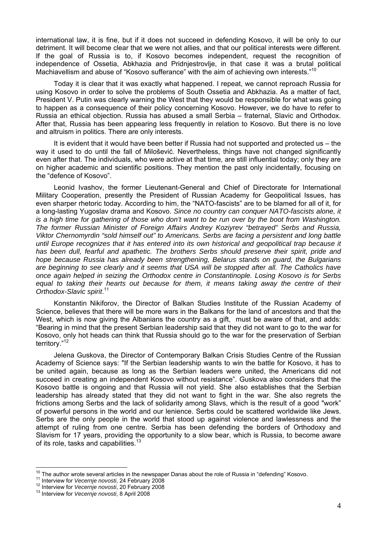international law, it is fine, but if it does not succeed in defending Kosovo, it will be only to our detriment. It will become clear that we were not allies, and that our political interests were different. If the goal of Russia is to, if Kosovo becomes independent, request the recognition of independence of Ossetia, Abkhazia and Pridnjestrovlje, in that case it was a brutal political Machiavellism and abuse of "Kosovo sufferance" with the aim of achieving own interests."<sup>10</sup>

Today it is clear that it was exactly what happened. I repeat, we cannot reproach Russia for using Kosovo in order to solve the problems of South Ossetia and Abkhazia. As a matter of fact, President V. Putin was clearly warning the West that they would be responsible for what was going to happen as a consequence of their policy concerning Kosovo. However, we do have to refer to Russia an ethical objection. Russia has abused a small Serbia – fraternal, Slavic and Orthodox. After that, Russia has been appearing less frequently in relation to Kosovo. But there is no love and altruism in politics. There are only interests.

It is evident that it would have been better if Russia had not supported and protected us – the way it used to do until the fall of Milošević. Nevertheless, things have not changed significantly even after that. The individuals, who were active at that time, are still influential today; only they are on higher academic and scientific positions. They mention the past only incidentally, focusing on the "defence of Kosovo".

Leonid Ivashov, the former Lieutenant-General and Chief of Directorate for International Military Cooperation, presently the President of Russian Academy for Geopolitical Issues, has even sharper rhetoric today. According to him, the "NATO-fascists" are to be blamed for all of it, for a long-lasting Yugoslav drama and Kosovo. *Since no country can conquer NATO-fascists alone, it is a high time for gathering of those who don't want to be run over by the boot from Washington. The former Russian Minister of Foreign Affairs Andrey Koziyrev "betrayed" Serbs and Russia, Viktor Chernomyrdin "sold himself out" to Americans. Serbs are facing a persistent and long battle until Europe recognizes that it has entered into its own historical and geopolitical trap because it has been dull, fearful and apathetic. The brothers Serbs should preserve their spirit, pride and hope because Russia has already been strengthening, Belarus stands on guard, the Bulgarians are beginning to see clearly and it seems that USA will be stopped after all. The Catholics have once again helped in seizing the Orthodox centre in Constantinople. Losing Kosovo is for Serbs equal to taking their hearts out because for them, it means taking away the centre of their Orthodox-Slavic spirit*. 11

Konstantin Nikiforov, the Director of Balkan Studies Institute of the Russian Academy of Science, believes that there will be more wars in the Balkans for the land of ancestors and that the West, which is now giving the Albanians the country as a gift, must be aware of that, and adds: "Bearing in mind that the present Serbian leadership said that they did not want to go to the war for Kosovo, only hot heads can think that Russia should go to the war for the preservation of Serbian territory."12

Jelena Guskova, the Director of Contemporary Balkan Crisis Studies Centre of the Russian Academy of Science says: "If the Serbian leadership wants to win the battle for Kosovo, it has to be united again, because as long as the Serbian leaders were united, the Americans did not succeed in creating an independent Kosovo without resistance". Guskova also considers that the Kosovo battle is ongoing and that Russia will not yield. She also establishes that the Serbian leadership has already stated that they did not want to fight in the war. She also regrets the frictions among Serbs and the lack of solidarity among Slavs, which is the result of a good "work" of powerful persons in the world and our lenience. Serbs could be scattered worldwide like Jews. Serbs are the only people in the world that stood up against violence and lawlessness and the attempt of ruling from one centre. Serbia has been defending the borders of Orthodoxy and Slavism for 17 years, providing the opportunity to a slow bear, which is Russia, to become aware of its role, tasks and capabilities.<sup>13</sup>

 $\overline{a}$ <sup>10</sup> The author wrote several articles in the newspaper Danas about the role of Russia in "defending" Kosovo.<br><sup>11</sup> Interview for *Vecernje novosti*, 24 February 2008<br><sup>12</sup> Interview for *Vecernje novosti*, 20 February 2008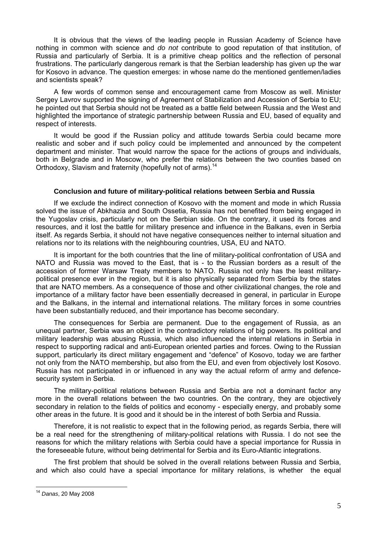It is obvious that the views of the leading people in Russian Academy of Science have nothing in common with science and *do not* contribute to good reputation of that institution, of Russia and particularly of Serbia. It is a primitive cheap politics and the reflection of personal frustrations. The particularly dangerous remark is that the Serbian leadership has given up the war for Kosovo in advance. The question emerges: in whose name do the mentioned gentlemen/ladies and scientists speak?

A few words of common sense and encouragement came from Moscow as well. Minister Sergey Lavrov supported the signing of Agreement of Stabilization and Accession of Serbia to EU; he pointed out that Serbia should not be treated as a battle field between Russia and the West and highlighted the importance of strategic partnership between Russia and EU, based of equality and respect of interests.

It would be good if the Russian policy and attitude towards Serbia could became more realistic and sober and if such policy could be implemented and announced by the competent department and minister. That would narrow the space for the actions of groups and individuals, both in Belgrade and in Moscow, who prefer the relations between the two counties based on Orthodoxy, Slavism and fraternity (hopefully not of arms).<sup>14</sup>

## **Conclusion and future of military-political relations between Serbia and Russia**

If we exclude the indirect connection of Kosovo with the moment and mode in which Russia solved the issue of Abkhazia and South Ossetia, Russia has not benefited from being engaged in the Yugoslav crisis, particularly not on the Serbian side. On the contrary, it used its forces and resources, and it lost the battle for military presence and influence in the Balkans, even in Serbia itself. As regards Serbia, it should not have negative consequences neither to internal situation and relations nor to its relations with the neighbouring countries, USA, EU and NATO.

It is important for the both countries that the line of military-political confrontation of USA and NATO and Russia was moved to the East, that is - to the Russian borders as a result of the accession of former Warsaw Treaty members to NATO. Russia not only has the least militarypolitical presence ever in the region, but it is also physically separated from Serbia by the states that are NATO members. As a consequence of those and other civilizational changes, the role and importance of a military factor have been essentially decreased in general, in particular in Europe and the Balkans, in the internal and international relations. The military forces in some countries have been substantially reduced, and their importance has become secondary.

The consequences for Serbia are permanent. Due to the engagement of Russia, as an unequal partner, Serbia was an object in the contradictory relations of big powers. Its political and military leadership was abusing Russia, which also influenced the internal relations in Serbia in respect to supporting radical and anti-European oriented parties and forces. Owing to the Russian support, particularly its direct military engagement and "defence" of Kosovo, today we are farther not only from the NATO membership, but also from the EU, and even from objectively lost Kosovo. Russia has not participated in or influenced in any way the actual reform of army and defencesecurity system in Serbia.

The military-political relations between Russia and Serbia are not a dominant factor any more in the overall relations between the two countries. On the contrary, they are objectively secondary in relation to the fields of politics and economy - especially energy, and probably some other areas in the future. It is good and it should be in the interest of both Serbia and Russia.

Therefore, it is not realistic to expect that in the following period, as regards Serbia, there will be a real need for the strengthening of military-political relations with Russia. I do not see the reasons for which the military relations with Serbia could have a special importance for Russia in the foreseeable future, without being detrimental for Serbia and its Euro-Atlantic integrations.

The first problem that should be solved in the overall relations between Russia and Serbia, and which also could have a special importance for military relations, is whether the equal

 $\overline{1}$ 

<sup>14</sup> *Danas*, 20 May 2008